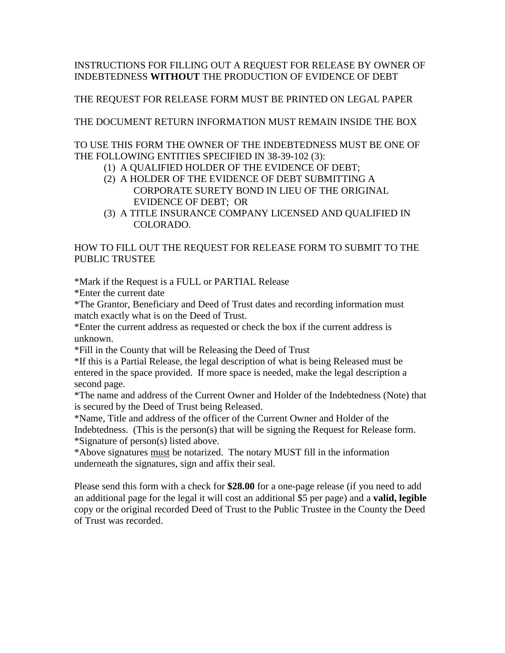## INSTRUCTIONS FOR FILLING OUT A REQUEST FOR RELEASE BY OWNER OF INDEBTEDNESS **WITHOUT** THE PRODUCTION OF EVIDENCE OF DEBT

## THE REQUEST FOR RELEASE FORM MUST BE PRINTED ON LEGAL PAPER

THE DOCUMENT RETURN INFORMATION MUST REMAIN INSIDE THE BOX

TO USE THIS FORM THE OWNER OF THE INDEBTEDNESS MUST BE ONE OF THE FOLLOWING ENTITIES SPECIFIED IN 38-39-102 (3):

- (1) A QUALIFIED HOLDER OF THE EVIDENCE OF DEBT;
- (2) A HOLDER OF THE EVIDENCE OF DEBT SUBMITTING A CORPORATE SURETY BOND IN LIEU OF THE ORIGINAL EVIDENCE OF DEBT; OR
- (3) A TITLE INSURANCE COMPANY LICENSED AND QUALIFIED IN COLORADO.

## HOW TO FILL OUT THE REQUEST FOR RELEASE FORM TO SUBMIT TO THE PUBLIC TRUSTEE

\*Mark if the Request is a FULL or PARTIAL Release

\*Enter the current date

\*The Grantor, Beneficiary and Deed of Trust dates and recording information must match exactly what is on the Deed of Trust.

\*Enter the current address as requested or check the box if the current address is unknown.

\*Fill in the County that will be Releasing the Deed of Trust

\*If this is a Partial Release, the legal description of what is being Released must be entered in the space provided. If more space is needed, make the legal description a second page.

\*The name and address of the Current Owner and Holder of the Indebtedness (Note) that is secured by the Deed of Trust being Released.

\*Name, Title and address of the officer of the Current Owner and Holder of the Indebtedness. (This is the person(s) that will be signing the Request for Release form. \*Signature of person(s) listed above.

\*Above signatures must be notarized. The notary MUST fill in the information underneath the signatures, sign and affix their seal.

Please send this form with a check for **\$28.00** for a one-page release (if you need to add an additional page for the legal it will cost an additional \$5 per page) and a **valid, legible** copy or the original recorded Deed of Trust to the Public Trustee in the County the Deed of Trust was recorded.